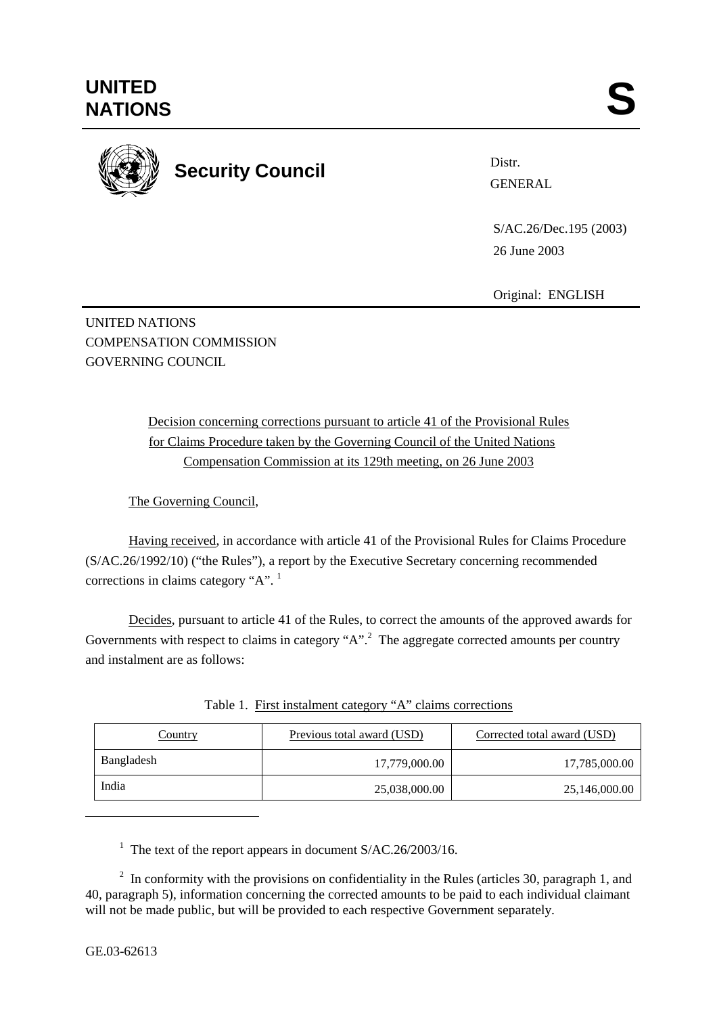

Distr.

 S/AC.26/Dec.195 (2003) 26 June 2003

Original: ENGLISH

UNITED NATIONS COMPENSATION COMMISSION GOVERNING COUNCIL

> Decision concerning corrections pursuant to article 41 of the Provisional Rules for Claims Procedure taken by the Governing Council of the United Nations Compensation Commission at its 129th meeting, on 26 June 2003

The Governing Council,

Having received, in accordance with article 41 of the Provisional Rules for Claims Procedure (S/AC.26/1992/10) ("the Rules"), a report by the Executive Secretary concerning recommended corrections in claims category "A". <sup>1</sup>

Decides, pursuant to article 41 of the Rules, to correct the amounts of the approved awards for Governments with respect to claims in category " $A$ ".<sup>2</sup> The aggregate corrected amounts per country and instalment are as follows:

| <b>Country</b> | Previous total award (USD) | Corrected total award (USD) |
|----------------|----------------------------|-----------------------------|
| Bangladesh     | 17,779,000.00              | 17,785,000.00               |
| India          | 25,038,000.00              | 25,146,000.00               |

Table 1. First instalment category "A" claims corrections

<sup>1</sup> The text of the report appears in document S/AC.26/2003/16.

 $2\;\;$  In conformity with the provisions on confidentiality in the Rules (articles 30, paragraph 1, and 40, paragraph 5), information concerning the corrected amounts to be paid to each individual claimant will not be made public, but will be provided to each respective Government separately.

l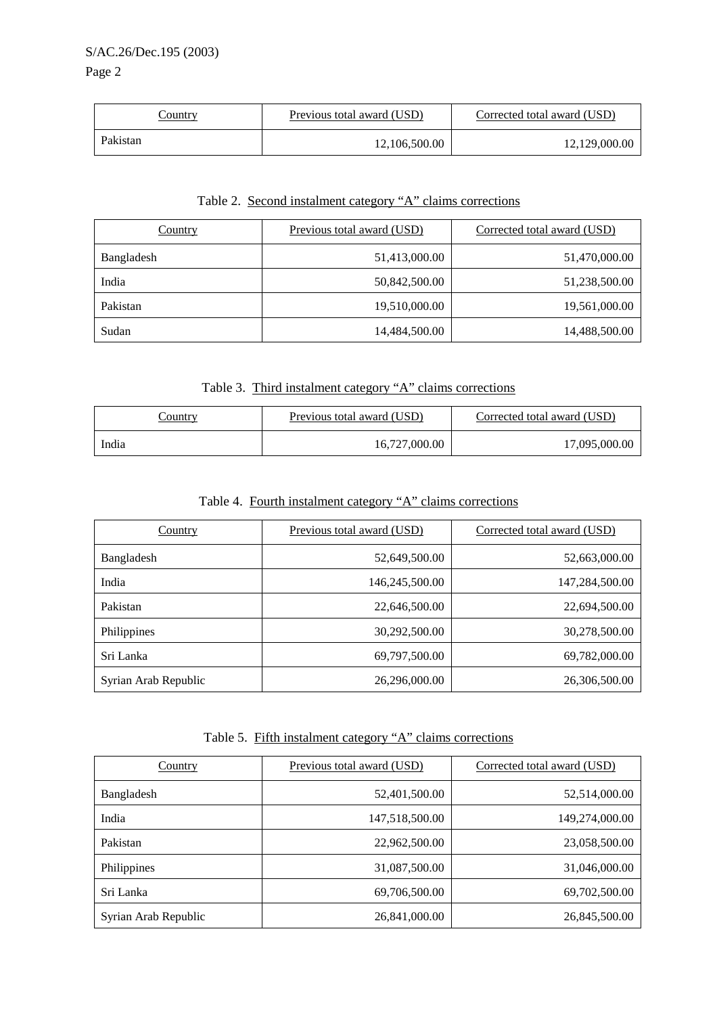#### S/AC.26/Dec.195 (2003)

### Page 2

| <u>Country</u> | Previous total award (USD) | Corrected total award (USD) |
|----------------|----------------------------|-----------------------------|
| Pakistan       | 12,106,500.00              | 12,129,000.00               |

#### Table 2. Second instalment category "A" claims corrections

| Country    | Previous total award (USD) | Corrected total award (USD) |  |
|------------|----------------------------|-----------------------------|--|
| Bangladesh | 51,413,000.00              | 51,470,000.00               |  |
| India      | 50,842,500.00              | 51,238,500.00               |  |
| Pakistan   | 19,510,000.00              | 19,561,000.00               |  |
| Sudan      | 14,484,500.00              | 14,488,500.00               |  |

### Table 3. Third instalment category "A" claims corrections

| <u>Country</u> | Previous total award (USD) | Corrected total award (USD) |
|----------------|----------------------------|-----------------------------|
| India          | 16,727,000.00              | 17,095,000.00               |

# Table 4. Fourth instalment category "A" claims corrections

| Country              | Previous total award (USD) | Corrected total award (USD) |  |
|----------------------|----------------------------|-----------------------------|--|
| Bangladesh           | 52,649,500.00              | 52,663,000.00               |  |
| India                | 146,245,500.00             | 147,284,500.00              |  |
| Pakistan             | 22,646,500.00              | 22,694,500.00               |  |
| Philippines          | 30,292,500.00              | 30,278,500.00               |  |
| Sri Lanka            | 69,797,500.00              | 69,782,000.00               |  |
| Syrian Arab Republic | 26,296,000.00              | 26,306,500.00               |  |

## Table 5. Fifth instalment category "A" claims corrections

| Country              | Previous total award (USD) | Corrected total award (USD) |  |
|----------------------|----------------------------|-----------------------------|--|
| Bangladesh           | 52,401,500.00              | 52,514,000.00               |  |
| India                | 147,518,500.00             | 149,274,000.00              |  |
| Pakistan             | 22,962,500.00              | 23,058,500.00               |  |
| Philippines          | 31,087,500.00              | 31,046,000.00               |  |
| Sri Lanka            | 69,706,500.00              | 69,702,500.00               |  |
| Syrian Arab Republic | 26,841,000.00              | 26,845,500.00               |  |